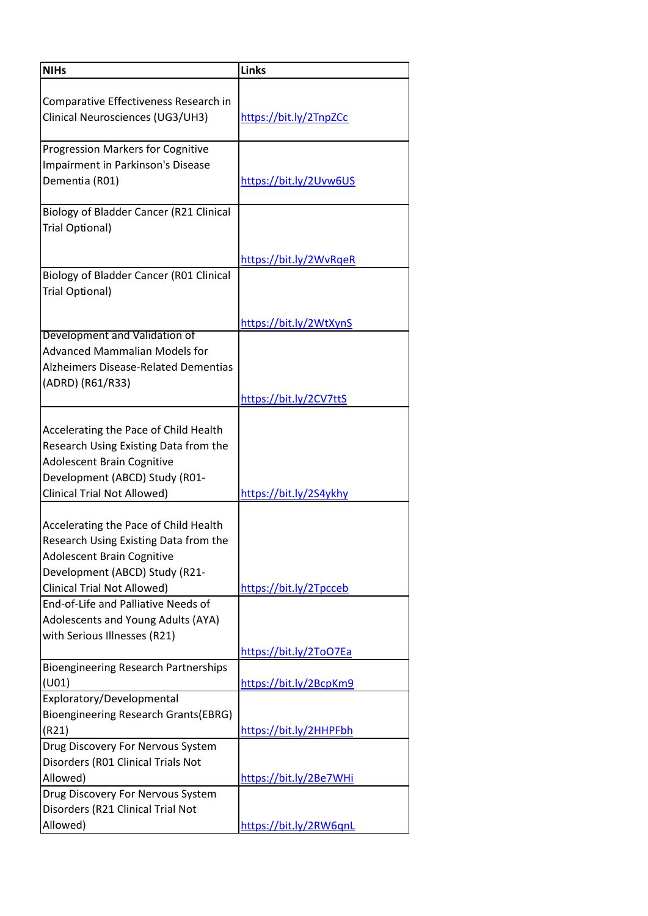| <b>NIHs</b>                                 | <b>Links</b>           |
|---------------------------------------------|------------------------|
| Comparative Effectiveness Research in       |                        |
| Clinical Neurosciences (UG3/UH3)            | https://bit.ly/2TnpZCc |
| <b>Progression Markers for Cognitive</b>    |                        |
| Impairment in Parkinson's Disease           |                        |
| Dementia (R01)                              | https://bit.ly/2Uvw6US |
| Biology of Bladder Cancer (R21 Clinical     |                        |
| Trial Optional)                             |                        |
|                                             | https://bit.ly/2WvRqeR |
| Biology of Bladder Cancer (R01 Clinical     |                        |
| Trial Optional)                             |                        |
|                                             | https://bit.ly/2WtXynS |
| Development and Validation of               |                        |
| <b>Advanced Mammalian Models for</b>        |                        |
| Alzheimers Disease-Related Dementias        |                        |
| (ADRD) (R61/R33)                            |                        |
|                                             | https://bit.ly/2CV7ttS |
| Accelerating the Pace of Child Health       |                        |
| Research Using Existing Data from the       |                        |
| Adolescent Brain Cognitive                  |                        |
| Development (ABCD) Study (R01-              |                        |
| <b>Clinical Trial Not Allowed)</b>          | https://bit.ly/2S4ykhy |
|                                             |                        |
| Accelerating the Pace of Child Health       |                        |
| Research Using Existing Data from the       |                        |
| Adolescent Brain Cognitive                  |                        |
| Development (ABCD) Study (R21-              |                        |
| <b>Clinical Trial Not Allowed)</b>          | https://bit.ly/2Tpcceb |
| End-of-Life and Palliative Needs of         |                        |
| Adolescents and Young Adults (AYA)          |                        |
| with Serious Illnesses (R21)                |                        |
| <b>Bioengineering Research Partnerships</b> | https://bit.ly/2ToO7Ea |
| (U01)                                       | https://bit.ly/2BcpKm9 |
| Exploratory/Developmental                   |                        |
| Bioengineering Research Grants(EBRG)        |                        |
| (R21)                                       | https://bit.ly/2HHPFbh |
| Drug Discovery For Nervous System           |                        |
| Disorders (R01 Clinical Trials Not          |                        |
| Allowed)                                    | https://bit.ly/2Be7WHi |
| Drug Discovery For Nervous System           |                        |
| Disorders (R21 Clinical Trial Not           |                        |
| Allowed)                                    | https://bit.ly/2RW6qnL |